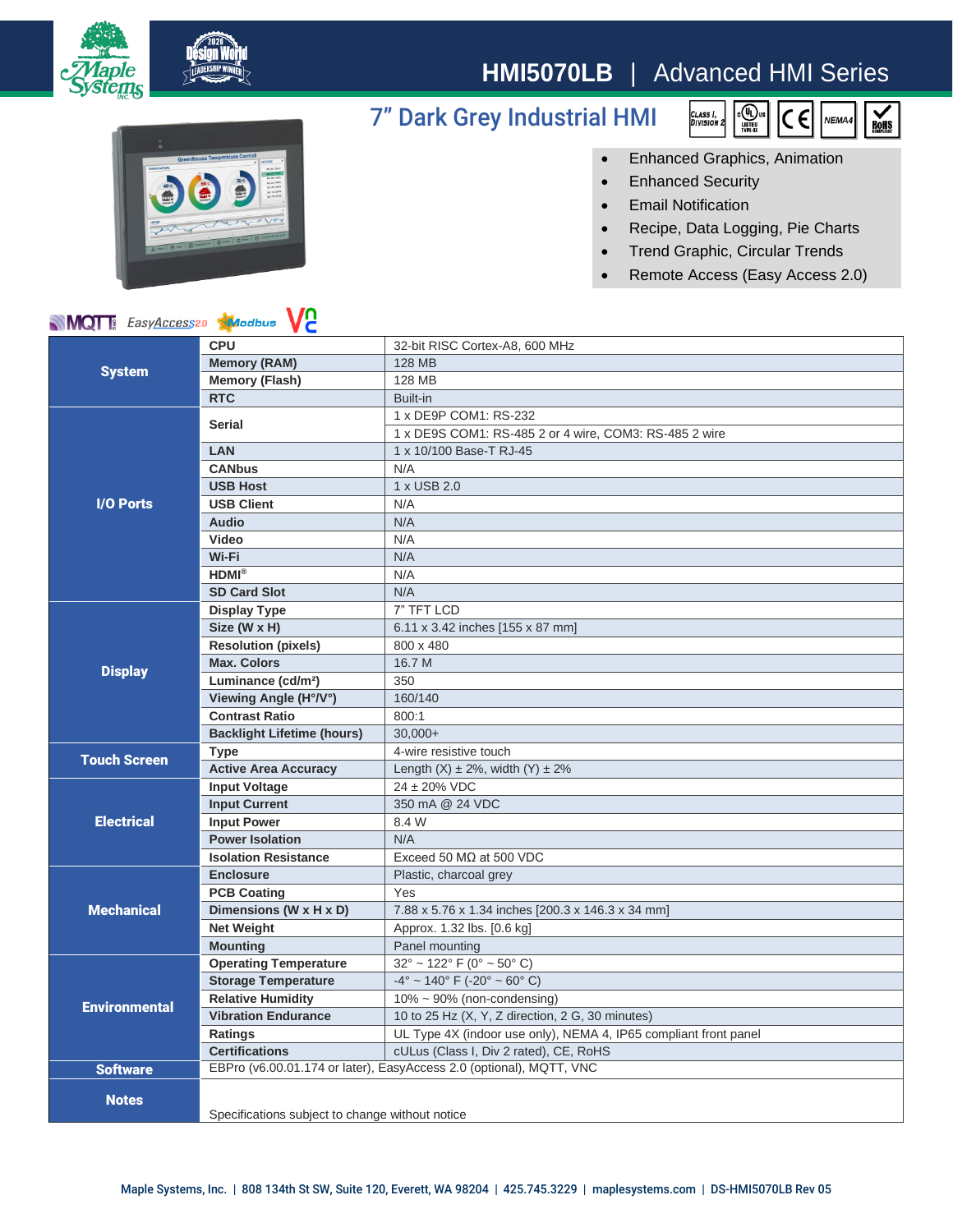

# **HMI5070LB** | Advanced HMI Series

## 7" Dark Grey Industrial HMI





### • Enhanced Graphics, Animation

- Enhanced Security
- Email Notification
- Recipe, Data Logging, Pie Charts
- Trend Graphic, Circular Trends
- Remote Access (Easy Access 2.0)

### **MQT** EasyAccess20 **Alacabus** V2

| <b>NIVIQI</b> I <i>zasy<u>Access</u></i> 20<br><b>XIV</b> odbus<br>VC. |                                                                     |                                                                  |
|------------------------------------------------------------------------|---------------------------------------------------------------------|------------------------------------------------------------------|
| <b>System</b>                                                          | <b>CPU</b>                                                          | 32-bit RISC Cortex-A8, 600 MHz                                   |
|                                                                        | <b>Memory (RAM)</b>                                                 | <b>128 MB</b>                                                    |
|                                                                        | <b>Memory (Flash)</b>                                               | 128 MB                                                           |
|                                                                        | <b>RTC</b>                                                          | Built-in                                                         |
| I/O Ports                                                              | <b>Serial</b>                                                       | 1 x DE9P COM1: RS-232                                            |
|                                                                        |                                                                     | 1 x DE9S COM1: RS-485 2 or 4 wire, COM3: RS-485 2 wire           |
|                                                                        | <b>LAN</b>                                                          | 1 x 10/100 Base-T RJ-45                                          |
|                                                                        | <b>CANbus</b>                                                       | N/A                                                              |
|                                                                        | <b>USB Host</b>                                                     | 1 x USB 2.0                                                      |
|                                                                        | <b>USB Client</b>                                                   | N/A                                                              |
|                                                                        | <b>Audio</b>                                                        | N/A                                                              |
|                                                                        | Video                                                               | N/A                                                              |
|                                                                        | Wi-Fi                                                               | N/A                                                              |
|                                                                        | HDMI <sup>®</sup>                                                   | N/A                                                              |
|                                                                        | <b>SD Card Slot</b>                                                 | N/A                                                              |
| <b>Display</b>                                                         | <b>Display Type</b>                                                 | 7" TFT LCD                                                       |
|                                                                        | Size (W x H)                                                        | 6.11 x 3.42 inches [155 x 87 mm]                                 |
|                                                                        | <b>Resolution (pixels)</b>                                          | 800 x 480                                                        |
|                                                                        | <b>Max. Colors</b>                                                  | 16.7 M                                                           |
|                                                                        | Luminance (cd/m <sup>2</sup> )                                      | 350                                                              |
|                                                                        | Viewing Angle (H°/V°)                                               | 160/140                                                          |
|                                                                        | <b>Contrast Ratio</b>                                               | 800:1                                                            |
|                                                                        | <b>Backlight Lifetime (hours)</b>                                   | $30.000+$                                                        |
| <b>Touch Screen</b>                                                    | <b>Type</b>                                                         | 4-wire resistive touch                                           |
|                                                                        | <b>Active Area Accuracy</b>                                         | Length $(X) \pm 2\%$ , width $(Y) \pm 2\%$                       |
| <b>Electrical</b>                                                      | <b>Input Voltage</b>                                                | 24 ± 20% VDC                                                     |
|                                                                        | <b>Input Current</b>                                                | 350 mA @ 24 VDC                                                  |
|                                                                        | <b>Input Power</b>                                                  | 8.4 W                                                            |
|                                                                        | <b>Power Isolation</b>                                              | N/A                                                              |
|                                                                        | <b>Isolation Resistance</b>                                         | Exceed 50 $M\Omega$ at 500 VDC                                   |
| <b>Mechanical</b>                                                      | <b>Enclosure</b>                                                    | Plastic, charcoal grey                                           |
|                                                                        | <b>PCB Coating</b>                                                  | Yes                                                              |
|                                                                        | Dimensions (W x H x D)                                              | 7.88 x 5.76 x 1.34 inches [200.3 x 146.3 x 34 mm]                |
|                                                                        | <b>Net Weight</b>                                                   | Approx. 1.32 lbs. [0.6 kg]                                       |
|                                                                        | <b>Mounting</b>                                                     | Panel mounting                                                   |
| <b>Environmental</b>                                                   | <b>Operating Temperature</b>                                        | $32^{\circ}$ ~ 122° F (0° ~ 50° C)                               |
|                                                                        | <b>Storage Temperature</b>                                          | $-4^{\circ}$ ~ 140° F (-20° ~ 60° C)                             |
|                                                                        | <b>Relative Humidity</b>                                            | $10\% \sim 90\%$ (non-condensing)                                |
|                                                                        | <b>Vibration Endurance</b>                                          | 10 to 25 Hz (X, Y, Z direction, 2 G, 30 minutes)                 |
|                                                                        | Ratings                                                             | UL Type 4X (indoor use only), NEMA 4, IP65 compliant front panel |
|                                                                        | <b>Certifications</b>                                               | cULus (Class I, Div 2 rated), CE, RoHS                           |
| <b>Software</b>                                                        | EBPro (v6.00.01.174 or later), EasyAccess 2.0 (optional), MQTT, VNC |                                                                  |
| <b>Notes</b>                                                           |                                                                     |                                                                  |
|                                                                        |                                                                     |                                                                  |
|                                                                        | Specifications subject to change without notice                     |                                                                  |